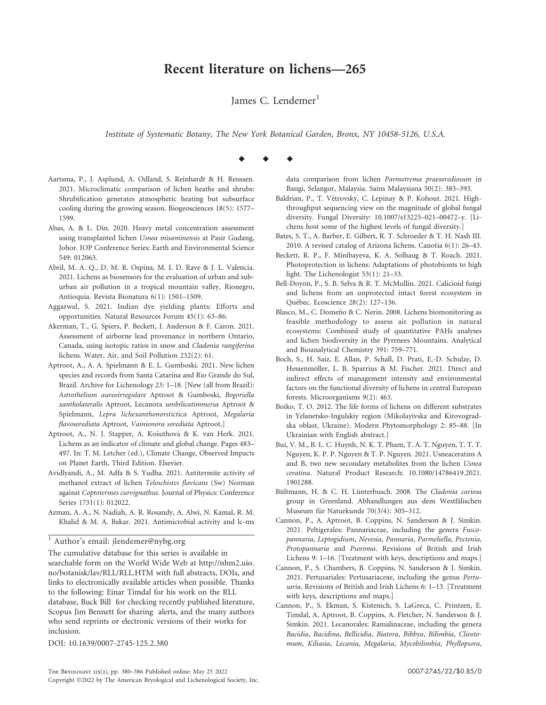## Recent literature on lichens—265

James C. Lendemer $<sup>1</sup>$ </sup>

Institute of Systematic Botany, The New York Botanical Garden, Bronx, NY 10458-5126, U.S.A.

## $\begin{array}{ccccccccccccc} \bullet & & \bullet & & \bullet & & \bullet \end{array}$

- Aartsma, P., J. Asplund, A. Odland, S. Reinhardt & H. Renssen. 2021. Microclimatic comparison of lichen heaths and shrubs: Shrubification generates atmospheric heating but subsurface cooling during the growing season. Biogeosciences 18(5): 1577– 1599.
- Abas, A. & L. Din. 2020. Heavy metal concentration assessment using transplanted lichen Usnea misaminensis at Pasir Gudang, Johor. IOP Conference Series: Earth and Environmental Science 549: 012063.
- Abril, M. A. Q., D. M. R. Ospina, M. I. D. Rave & J. L. Valencia. 2021. Lichens as biosensors for the evaluation of urban and suburban air pollution in a tropical mountain valley, Rionegro, Antioquia. Revista Bionatura 6(1): 1501–1509.
- Aggarwal, S. 2021. Indian dye yielding plants: Efforts and opportunities. Natural Resources Forum 45(1): 63–86.
- Akerman, T., G. Spiers, P. Beckett, J. Anderson & F. Caron. 2021. Assessment of airborne lead provenance in northern Ontario, Canada, using isotopic ratios in snow and Cladonia rangiferina lichens. Water, Air, and Soil Pollution 232(2): 61.
- Aptroot, A., A. A. Spielmann & E. L. Gumboski. 2021. New lichen species and records from Santa Catarina and Rio Grande do Sul, Brazil. Archive for Lichenology 23: 1–18. [New (all from Brazil): Astrothelium aureoirregulare Aptroot & Gumboski, Bogoriella xantholateralis Aptroot, Lecanora umbilicatimmersa Aptroot & Spielmann, Lepra lichexanthonorstictica Aptroot, Megalaria flavosorediata Aptroot, Vainionora sorediata Aptroot.]
- Aptroot, A., N. J. Stapper, A. Košuthová & K. van Herk. 2021. Lichens as an indicator of climate and global change. Pages 483– 497. In: T. M. Letcher (ed.), Climate Change, Observed Impacts on Planet Earth, Third Edition. Elsevier.
- Avidlyandi, A., M. Adfa & S. Yudha. 2021. Antitermite activity of methanol extract of lichen Teloschistes flavicans (Sw) Norman against Coptotermes curvignathus. Journal of Physics: Conference Series 1731(1): 012022.
- Azman, A. A., N. Nadiah, A. R. Rosandy, A. Alwi, N. Kamal, R. M. Khalid & M. A. Bakar. 2021. Antimicrobial activity and lc-ms

<sup>1</sup> Author's email: jlendemer@nybg.org

The cumulative database for this series is available in searchable form on the World Wide Web at http://nhm2.uio. no/botanisk/lav/RLL/RLL.HTM with full abstracts, DOIs, and links to electronically available articles when possible. Thanks to the following: Einar Timdal for his work on the RLL database, Buck Bill for checking recently published literature, Scopus Jim Bennett for sharing alerts, and the many authors who send reprints or electronic versions of their works for inclusion.

DOI: 10.1639/0007-2745-125.2.380

Baldrian, P., T. Větrovský, C. Lepinay & P. Kohout. 2021. Highthroughput sequencing view on the magnitude of global fungal diversity. Fungal Diversity: 10.1007/s13225–021–00472–y. [Li-

chens host some of the highest levels of fungal diversity.] Bates, S. T., A. Barber, E. Gilbert, R. T. Schroeder & T. H. Nash III. 2010. A revised catalog of Arizona lichens. Canotia 6(1): 26–43.

data comparison from lichen Parmotrema praesorediosum in Bangi, Selangor, Malaysia. Sains Malaysiana 50(2): 383–393.

- Beckett, R. P., F. Minibayeva, K. A. Solhaug & T. Roach. 2021. Photoprotection in lichens: Adaptations of photobionts to high light. The Lichenologist 53(1): 21–33.
- Bell-Doyon, P., S. B. Selva & R. T. McMullin. 2021. Calicioid fungi and lichens from an unprotected intact forest ecosystem in Québec. Ecoscience 28(2): 127-136.
- Blasco, M., C. Domeño & C. Nerín. 2008. Lichens biomonitoring as feasible methodology to assess air pollution in natural ecosystems: Combined study of quantitative PAHs analyses and lichen biodiversity in the Pyrenees Mountains. Analytical and Bioanalytical Chemistry 391: 759–771.
- Boch, S., H. Saiz, E. Allan, P. Schall, D. Prati, E.-D. Schulze, D. Hessenmöller, L. B. Sparrius & M. Fischer. 2021. Direct and indirect effects of management intensity and environmental factors on the functional diversity of lichens in central European forests. Microorganisms 9(2): 463.
- Boiko, T. O. 2012. The life forms of lichens on different substrates in Yelanetsko-Ingulskiy region (Mikolayivska and Kirovogradska oblast, Ukraine). Modern Phytomorphology 2: 85–88. [In Ukrainian with English abstract.]
- Bui, V. M., B. L. C. Huynh, N. K. T. Pham, T. A. T. Nguyen, T. T. T. Nguyen, K. P. P. Nguyen & T. P. Nguyen. 2021. Usneaceratins A and B, two new secondary metabolites from the lichen Usnea ceratina. Natural Product Research: 10.1080/14786419.2021. 1901288.
- Bültmann, H. & C. H. Lünterbusch. 2008. The Cladonia cariosa group in Greenland. Abhandlungen aus dem Westfälischen Museum für Naturkunde 70(3/4): 305–312.
- Cannon, P., A. Aptroot, B. Coppins, N. Sanderson & J. Simkin. 2021. Peltigerales: Pannariaceae, including the genera Fuscopannaria, Leptogidium, Nevesia, Pannaria, Parmeliella, Pectenia, Protopannaria and Psoroma. Revisions of British and Irish Lichens 9: 1–16. [Treatment with keys, descriptions and maps.]
- Cannon, P., S. Chambers, B. Coppins, N. Sanderson & J. Simkin. 2021. Pertusariales: Pertusariaceae, including the genus Pertusaria. Revisions of British and Irish Lichens 6: 1–13. [Treatment with keys, descriptions and maps.]
- Cannon, P., S. Ekman, S. Kistenich, S. LaGreca, C. Printzen, E. Timdal, A. Aptroot, B. Coppins, A. Fletcher, N. Sanderson & J. Simkin. 2021. Lecanorales: Ramalinaceae, including the genera Bacidia, Bacidina, Bellicidia, Biatora, Bibbya, Bilimbia, Cliostomum, Kiliasia, Lecania, Megalaria, Mycobilimbia, Phyllopsora,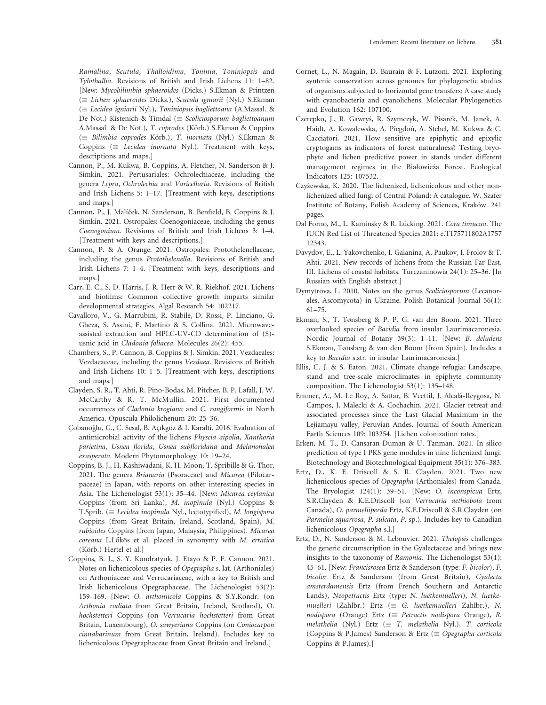Ramalina, Scutula, Thalloidima, Toninia, Toniniopsis and Tylothallia. Revisions of British and Irish Lichens 11: 1–82. [New: Mycobilimbia sphaeroides (Dicks.) S.Ekman & Printzen  $(\equiv$  Lichen sphaeroides Dicks.), Scutula igniarii (Nyl.) S.Ekman  $(\equiv$  Lecidea igniarii Nyl.), Toniniopsis bagliettoana (A.Massal. & De Not.) Kistenich & Timdal ( $\equiv$  Scoliciosporum bagliettoanum A.Massal. & De Not.), T. coprodes (Körb.) S.Ekman & Coppins  $(\equiv$  Bilimbia coprodes Körb.), T. inornata (Nyl.) S.Ekman & Coppins ( $\equiv$  Lecidea inornata Nyl.). Treatment with keys, descriptions and maps.]

- Cannon, P., M. Kukwa, B. Coppins, A. Fletcher, N. Sanderson & J. Simkin. 2021. Pertusariales: Ochrolechiaceae, including the genera Lepra, Ochrolechia and Varicellaria. Revisions of British and Irish Lichens 5: 1–17. [Treatment with keys, descriptions and maps.]
- Cannon, P., J. Malíček, N. Sanderson, B. Benfield, B. Coppins & J. Simkin. 2021. Ostropales: Coenogoniaceae, including the genus Coenogonium. Revisions of British and Irish Lichens 3: 1–4. [Treatment with keys and descriptions.]
- Cannon, P. & A. Orange. 2021. Ostropales: Protothelenellaceae, including the genus Protothelenella. Revisions of British and Irish Lichens 7: 1–4. [Treatment with keys, descriptions and maps.]
- Carr, E. C., S. D. Harris, J. R. Herr & W. R. Riekhof. 2021. Lichens and biofilms: Common collective growth imparts similar developmental strategies. Algal Research 54: 102217.
- Cavalloro, V., G. Marrubini, R. Stabile, D. Rossi, P. Linciano, G. Gheza, S. Assini, E. Martino & S. Collina. 2021. Microwaveassisted extraction and HPLC-UV-CD determination of (S) usnic acid in Cladonia foliacea. Molecules 26(2): 455.
- Chambers, S., P. Cannon, B. Coppins & J. Simkin. 2021. Vezdaeales: Vezdaeaceae, including the genus Vezdaea. Revisions of British and Irish Lichens 10: 1–5. [Treatment with keys, descriptions and maps.]
- Clayden, S. R., T. Ahti, R. Pino-Bodas, M. Pitcher, B. P. Løfall, J. W. McCarthy & R. T. McMullin. 2021. First documented occurrences of Cladonia krogiana and C. rangiformis in North America. Opuscula Philolichenum 20: 25–36.
- Çobanoğlu, G., C. Sesal, B. Açıkgöz & I. Karalti. 2016. Evaluation of antimicrobial activity of the lichens Physcia aipolia, Xanthoria parietina, Usnea florida, Usnea subfloridana and Melanohalea exasperata. Modern Phytomorphology 10: 19–24.
- Coppins, B. J., H. Kashiwadani, K. H. Moon, T. Spribille & G. Thor. 2021. The genera Brianaria (Psoraceae) and Micarea (Pilocarpaceae) in Japan, with reports on other interesting species in Asia. The Lichenologist 53(1): 35–44. [New: Micarea ceylanica Coppins (from Sri Lanka), M. inopinula (Nyl.) Coppins & T.Sprib. ( $\equiv$  Lecidea inopinula Nyl., lectotypified), M. longispora Coppins (from Great Britain, Ireland, Scotland, Spain), M. rubioides Coppins (from Japan, Malaysia, Philippines). Micarea coreana L.Lőkös et al. placed in synonymy with M. erratica (Körb.) Hertel et al.]
- Coppins, B. J., S. Y. Kondratyuk, J. Etayo & P. F. Cannon. 2021. Notes on lichenicolous species of Opegrapha s. lat. (Arthoniales) on Arthoniaceae and Verrucariaceae, with a key to British and Irish lichenicolous Opegraphaceae. The Lichenologist 53(2): 159–169. [New: O. arthoniicola Coppins & S.Y.Kondr. (on Arthonia radiata from Great Britain, Ireland, Scotland), O. hochstetteri Coppins (on Verrucaria hochstetteri from Great Britain, Luxembourg), O. sawyeriana Coppins (on Coniocarpon cinnabarinum from Great Britain, Ireland). Includes key to lichenicolous Opegraphaceae from Great Britain and Ireland.]
- Cornet, L., N. Magain, D. Baurain & F. Lutzoni. 2021. Exploring syntenic conservation across genomes for phylogenetic studies of organisms subjected to horizontal gene transfers: A case study with cyanobacteria and cyanolichens. Molecular Phylogenetics and Evolution 162: 107100.
- Czerepko, J., R. Gawrys´, R. Szymczyk, W. Pisarek, M. Janek, A. Haidt, A. Kowalewska, A. Piegdoń, A. Stebel, M. Kukwa & C. Cacciatori. 2021. How sensitive are epiphytic and epixylic cryptogams as indicators of forest naturalness? Testing bryophyte and lichen predictive power in stands under different management regimes in the Białowieża Forest. Ecological Indicators 125: 107532.
- Czyżewska, K. 2020. The lichenized, lichenicolous and other nonlichenized allied fungi of Central Poland: A catalogue. W. Szafer Institute of Botany, Polish Academy of Sciences, Kraków. 241 pages.
- Dal Forno, M., L. Kaminsky & R. Lücking. 2021. Cora timucua. The IUCN Red List of Threatened Species 2021: e.T175711802A1757 12343.
- Davydov, E., L. Yakovchenko, I. Galanina, A. Paukov, I. Frolov & T. Ahti. 2021. New records of lichens from the Russian Far East. III. Lichens of coastal habitats. Turczaninowia 24(1): 25–36. [In Russian with English abstract.]
- Dymytrova, L. 2010. Notes on the genus Scoliciosporum (Lecanorales, Ascomycota) in Ukraine. Polish Botanical Journal 56(1): 61–75.
- Ekman, S., T. Tønsberg & P. P. G. van den Boom. 2021. Three overlooked species of Bacidia from insular Laurimacaronesia. Nordic Journal of Botany 39(3): 1–11. [New: B. deludens S.Ekman, Tønsberg & van den Boom (from Spain). Includes a key to Bacidia s.str. in insular Laurimacaronesia.]
- Ellis, C. J. & S. Eaton. 2021. Climate change refugia: Landscape, stand and tree-scale microclimates in epiphyte community composition. The Lichenologist 53(1): 135–148.
- Emmer, A., M. Le Roy, A. Sattar, B. Veettil, J. Alcalá-Reygosa, N. Campos, J. Malecki & A. Cochachin. 2021. Glacier retreat and associated processes since the Last Glacial Maximum in the Lejiamayu valley, Peruvian Andes. Journal of South American Earth Sciences 109: 103254. [Lichen colonization rates.]
- Erken, M. T., D. Cansaran-Duman & U. Tanman. 2021. In silico prediction of type I PKS gene modules in nine lichenized fungi. Biotechnology and Biotechnological Equipment 35(1): 376–383.
- Ertz, D., K. E. Driscoll & S. R. Clayden. 2021. Two new lichenicolous species of Opegrapha (Arthoniales) from Canada. The Bryologist 124(1): 39–51. [New: O. inconspicua Ertz, S.R.Clayden & K.E.Driscoll (on Verrucaria aethiobola from Canada), O. parmeliiperda Ertz, K.E.Driscoll & S.R.Clayden (on Parmelia squarrosa, P. sulcata, P. sp.). Includes key to Canadian lichenicolous Opegrapha s.l.]
- Ertz, D., N. Sanderson & M. Lebouvier. 2021. Thelopsis challenges the generic circumscription in the Gyalectaceae and brings new insights to the taxonomy of Ramonia. The Lichenologist 53(1): 45–61. [New: Francisrosea Ertz & Sanderson (type: F. bicolor), F. bicolor Ertz & Sanderson (from Great Britain), Gyalecta amsterdamensis Ertz (from French Southern and Antarctic Lands), Neopetractis Ertz (type: N. luetkemuelleri), N. luetkemuelleri (Zahlbr.) Ertz ( $\equiv$  G. luetkemuelleri Zahlbr.), N. nodispora (Orange) Ertz ( $\equiv$  Petractis nodispora Orange), R. melathelia (Nyl.) Ertz ( $\equiv$  T. melathelia Nyl.), T. corticola (Coppins & P.James) Sanderson & Ertz ( $\equiv$  Opegrapha corticola Coppins & P.James).]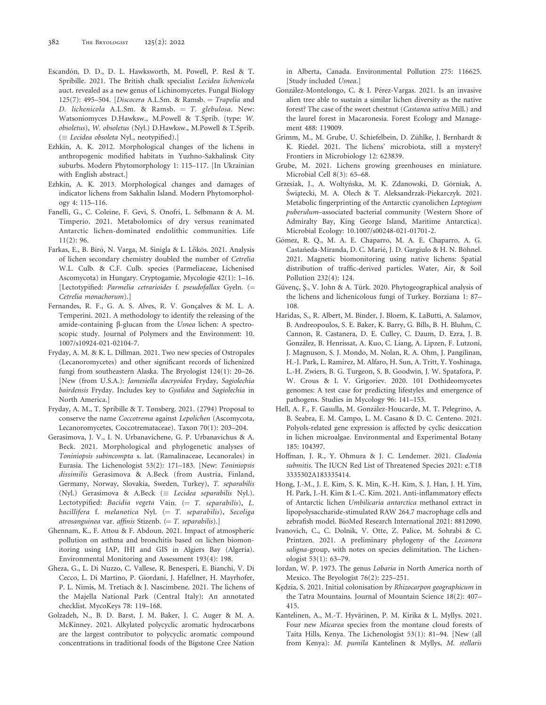- Escandón, D. D., D. L. Hawksworth, M. Powell, P. Resl & T. Spribille. 2021. The British chalk specialist Lecidea lichenicola auct. revealed as a new genus of Lichinomycetes. Fungal Biology 125(7): 495–504. [Discocera A.L.Sm. & Ramsb. = Trapelia and D. lichenicola A.L.Sm. & Ramsb.  $=$  T. glebulosa. New: Watsoniomyces D.Hawksw., M.Powell & T.Sprib. (type: W. obsoletus), W. obsoletus (Nyl.) D.Hawksw., M.Powell & T.Sprib.  $(\equiv$  Lecidea obsoleta Nyl., neotypified).]
- Ezhkin, A. K. 2012. Morphological changes of the lichens in anthropogenic modified habitats in Yuzhno-Sakhalinsk City suburbs. Modern Phytomorphology 1: 115–117. [In Ukrainian with English abstract.]
- Ezhkin, A. K. 2013. Morphological changes and damages of indicator lichens from Sakhalin Island. Modern Phytomorphology 4: 115–116.
- Fanelli, G., C. Coleine, F. Gevi, S. Onofri, L. Selbmann & A. M. Timperio. 2021. Metabolomics of dry versus reanimated Antarctic lichen-dominated endolithic communities. Life 11(2): 96.
- Farkas, E., B. Biró, N. Varga, M. Sinigla & L. Lőkös. 2021. Analysis of lichen secondary chemistry doubled the number of Cetrelia W.L. Culb. & C.F. Culb. species (Parmeliaceae, Lichenised Ascomycota) in Hungary. Cryptogamie, Mycologie 42(1): 1–16. [Lectotypified: Parmelia cetrarioides f. pseudofallax Gyeln. (= Cetrelia monachorum).]
- Fernandes, R. F., G. A. S. Alves, R. V. Gonçalves & M. L. A. Temperini. 2021. A methodology to identify the releasing of the amide-containing  $\beta$ -glucan from the Usnea lichen: A spectroscopic study. Journal of Polymers and the Environment: 10. 1007/s10924-021-02104-7.
- Fryday, A. M. & K. L. Dillman. 2021. Two new species of Ostropales (Lecanoromycetes) and other significant records of lichenized fungi from southeastern Alaska. The Bryologist 124(1): 20–26. [New (from U.S.A.): Jamesiella dacryoidea Fryday, Sagiolechia bairdensis Fryday. Includes key to Gyalidea and Sagiolechia in North America.]
- Fryday, A. M., T. Spribille & T. Tønsberg. 2021. (2794) Proposal to conserve the name Coccotrema against Lepolichen (Ascomycota, Lecanoromycetes, Coccotremataceae). Taxon 70(1): 203–204.
- Gerasimova, J. V., I. N. Urbanavichene, G. P. Urbanavichus & A. Beck. 2021. Morphological and phylogenetic analyses of Toniniopsis subincompta s. lat. (Ramalinaceae, Lecanorales) in Eurasia. The Lichenologist 53(2): 171–183. [New: Toniniopsis dissimilis Gerasimova & A.Beck (from Austria, Finland, Germany, Norway, Slovakia, Sweden, Turkey), T. separabilis (Nyl.) Gerasimova & A.Beck ( $\equiv$  Lecidea separabilis Nyl.). Lectotypified: Bacidia vegeta Vain.  $(= T.$  separabilis), L. bacillifera f. melanotica Nyl.  $(= T.$  separabilis), Secoliga atrosanguinea var. affinis Stizenb.  $(= T.$  separabilis).]
- Ghennam, K., F. Attou & F. Abdoun. 2021. Impact of atmospheric pollution on asthma and bronchitis based on lichen biomonitoring using IAP, IHI and GIS in Algiers Bay (Algeria). Environmental Monitoring and Assessment 193(4): 198.
- Gheza, G., L. Di Nuzzo, C. Vallese, R. Benesperi, E. Bianchi, V. Di Cecco, L. Di Martino, P. Giordani, J. Hafellner, H. Mayrhofer, P. L. Nimis, M. Tretiach & J. Nascimbene. 2021. The lichens of the Majella National Park (Central Italy): An annotated checklist. MycoKeys 78: 119–168.
- Golzadeh, N., B. D. Barst, J. M. Baker, J. C. Auger & M. A. McKinney. 2021. Alkylated polycyclic aromatic hydrocarbons are the largest contributor to polycyclic aromatic compound concentrations in traditional foods of the Bigstone Cree Nation

in Alberta, Canada. Environmental Pollution 275: 116625. [Study included Usnea.]

- González-Montelongo, C. & I. Pérez-Vargas. 2021. Is an invasive alien tree able to sustain a similar lichen diversity as the native forest? The case of the sweet chestnut (Castanea sativa Mill.) and the laurel forest in Macaronesia. Forest Ecology and Management 488: 119009.
- Grimm, M., M. Grube, U. Schiefelbein, D. Zuhlke, J. Bernhardt & ¨ K. Riedel. 2021. The lichens' microbiota, still a mystery? Frontiers in Microbiology 12: 623839.
- Grube, M. 2021. Lichens growing greenhouses en miniature. Microbial Cell 8(3): 65–68.
- Grzesiak, J., A. Woltyńska, M. K. Zdanowski, D. Górniak, A. Świątecki, M. A. Olech & T. Aleksandrzak-Piekarczyk. 2021. Metabolic fingerprinting of the Antarctic cyanolichen Leptogium puberulum–associated bacterial community (Western Shore of Admiralty Bay, King George Island, Maritime Antarctica). Microbial Ecology: 10.1007/s00248-021-01701-2.
- Gómez, R. Q., M. A. E. Chaparro, M. A. E. Chaparro, A. G. Castañeda-Miranda, D. C. Marié, J. D. Gargiulo & H. N. Böhnel. 2021. Magnetic biomonitoring using native lichens: Spatial distribution of traffic-derived particles. Water, Air, & Soil Pollution 232(4): 124.
- Güvenç, Ş., V. John & A. Türk. 2020. Phytogeographical analysis of the lichens and lichenicolous fungi of Turkey. Borziana 1: 87– 108.
- Haridas, S., R. Albert, M. Binder, J. Bloem, K. LaButti, A. Salamov, B. Andreopoulos, S. E. Baker, K. Barry, G. Bills, B. H. Bluhm, C. Cannon, R. Castanera, D. E. Culley, C. Daum, D. Ezra, J. B. González, B. Henrissat, A. Kuo, C. Liang, A. Lipzen, F. Lutzoni, J. Magnuson, S. J. Mondo, M. Nolan, R. A. Ohm, J. Pangilinan, H.-J. Park, L. Ramírez, M. Alfaro, H. Sun, A. Tritt, Y. Yoshinaga, L.-H. Zwiers, B. G. Turgeon, S. B. Goodwin, J. W. Spatafora, P. W. Crous & I. V. Grigoriev. 2020. 101 Dothideomycetes genomes: A test case for predicting lifestyles and emergence of pathogens. Studies in Mycology 96: 141–153.
- Hell, A. F., F. Gasulla, M. González-Houcarde, M. T. Pelegrino, A. B. Seabra, E. M. Campo, L. M. Casano & D. C. Centeno. 2021. Polyols-related gene expression is affected by cyclic desiccation in lichen microalgae. Environmental and Experimental Botany 185: 104397.
- Hoffman, J. R., Y. Ohmura & J. C. Lendemer. 2021. Cladonia submitis. The IUCN Red List of Threatened Species 2021: e.T18 3335302A183335414.
- Hong, J.-M., J. E. Kim, S. K. Min, K.-H. Kim, S. J. Han, J. H. Yim, H. Park, J.-H. Kim & I.-C. Kim. 2021. Anti-inflammatory effects of Antarctic lichen Umbilicaria antarctica methanol extract in lipopolysaccharide-stimulated RAW 264.7 macrophage cells and zebrafish model. BioMed Research International 2021: 8812090.
- Ivanovich, C., C. Dolnik, V. Otte, Z. Palice, M. Sohrabi & C. Printzen. 2021. A preliminary phylogeny of the Lecanora saligna-group, with notes on species delimitation. The Lichenologist 53(1): 63–79.
- Jordan, W. P. 1973. The genus Lobaria in North America north of Mexico. The Bryologist 76(2): 225–251.
- Kędzia, S. 2021. Initial colonisation by Rhizocarpon geographicum in the Tatra Mountains. Journal of Mountain Science 18(2): 407– 415.
- Kantelinen, A., M.-T. Hyvärinen, P. M. Kirika & L. Myllys. 2021. Four new Micarea species from the montane cloud forests of Taita Hills, Kenya. The Lichenologist 53(1): 81–94. [New (all from Kenya): M. pumila Kantelinen & Myllys, M. stellaris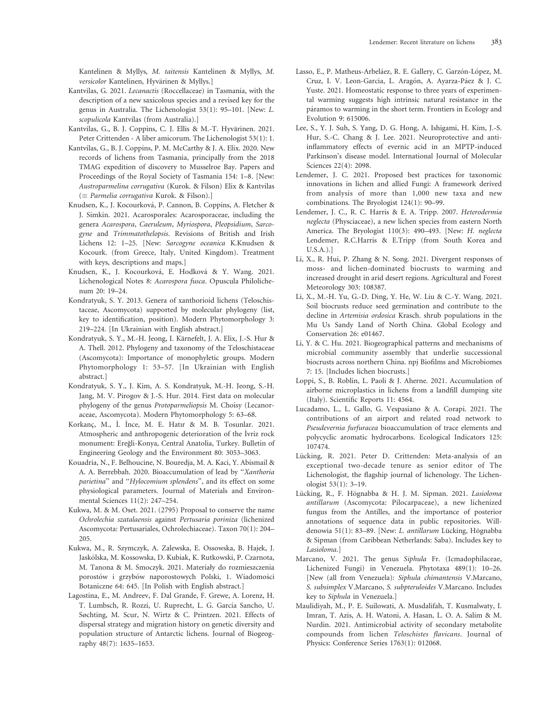Kantelinen & Myllys, M. taitensis Kantelinen & Myllys, M. versicolor Kantelinen, Hyvärinen & Myllys.]

- Kantvilas, G. 2021. Lecanactis (Roccellaceae) in Tasmania, with the description of a new saxicolous species and a revised key for the genus in Australia. The Lichenologist 53(1): 95–101. [New: L. scopulicola Kantvilas (from Australia).]
- Kantvilas, G., B. J. Coppins, C. J. Ellis & M.-T. Hyvärinen. 2021. Peter Crittenden - A liber amicorum. The Lichenologist 53(1): 1.
- Kantvilas, G., B. J. Coppins, P. M. McCarthy & J. A. Elix. 2020. New records of lichens from Tasmania, principally from the 2018 TMAG expedition of discovery to Musselroe Bay. Papers and Proceedings of the Royal Society of Tasmania 154: 1–8. [New: Austroparmelina corrugativa (Kurok. & Filson) Elix & Kantvilas  $( \equiv$  Parmelia corrugativa Kurok. & Filson).]
- Knudsen, K., J. Kocourková, P. Cannon, B. Coppins, A. Fletcher & J. Simkin. 2021. Acarosporales: Acarosporaceae, including the genera Acarospora, Caeruleum, Myriospora, Pleopsidium, Sarcogyne and Trimmatothelopsis. Revisions of British and Irish Lichens 12: 1–25. [New: Sarcogyne oceanica K.Knudsen & Kocourk. (from Greece, Italy, United Kingdom). Treatment with keys, descriptions and maps.]
- Knudsen, K., J. Kocourková, E. Hodková & Y. Wang. 2021. Lichenological Notes 8: Acarospora fusca. Opuscula Philolichenum 20: 19–24.
- Kondratyuk, S. Y. 2013. Genera of xanthorioid lichens (Teloschistaceae, Ascomycota) supported by molecular phylogeny (list, key to identification, position). Modern Phytomorphology 3: 219–224. [In Ukrainian with English abstract.]
- Kondratyuk, S. Y., M.-H. Jeong, I. Karnefelt, J. A. Elix, J.-S. Hur & ¨ A. Thell. 2012. Phylogeny and taxonomy of the Teloschistaceae (Ascomycota): Importance of monophyletic groups. Modern Phytomorphology 1: 53–57. [In Ukrainian with English abstract.]
- Kondratyuk, S. Y., J. Kim, A. S. Kondratyuk, M.-H. Jeong, S.-H. Jang, M. V. Pirogov & J.-S. Hur. 2014. First data on molecular phylogeny of the genus Protoparmeliopsis M. Choisy (Lecanoraceae, Ascomycota). Modern Phytomorphology 5: 63–68.
- Korkanç, M., İ. İnce, M. E. Hatır & M. B. Tosunlar. 2021. Atmospheric and anthropogenic deterioration of the ˙ Ivriz rock monument: Eregli-Konya, Central Anatolia, Turkey. Bulletin of ˘ Engineering Geology and the Environment 80: 3053–3063.
- Kouadria, N., F. Belhoucine, N. Bouredja, M. A. Kaci, Y. Abismail & A. A. Berrebbah. 2020. Bioaccumulation of lead by ''Xanthoria parietina'' and ''Hylocomium splendens'', and its effect on some physiological parameters. Journal of Materials and Environmental Sciences 11(2): 247–254.
- Kukwa, M. & M. Oset. 2021. (2795) Proposal to conserve the name Ochrolechia szatalaensis against Pertusaria poriniza (lichenized Ascomycota: Pertusariales, Ochrolechiaceae). Taxon 70(1): 204– 205.
- Kukwa, M., R. Szymczyk, A. Zalewska, E. Ossowska, B. Hajek, J. Jaskólska, M. Kossowska, D. Kubiak, K. Rutkowski, P. Czarnota, M. Tanona & M. Smoczyk. 2021. Materiały do rozmieszczenia porostów i grzybów naporostowych Polski, 1. Wiadomości Botaniczne 64: 645. [In Polish with English abstract.]
- Lagostina, E., M. Andreev, F. Dal Grande, F. Grewe, A. Lorenz, H. T. Lumbsch, R. Rozzi, U. Ruprecht, L. G. García Sancho, U. Søchting, M. Scur, N. Wirtz & C. Printzen. 2021. Effects of dispersal strategy and migration history on genetic diversity and population structure of Antarctic lichens. Journal of Biogeography 48(7): 1635–1653.
- Lasso, E., P. Matheus-Arbeláez, R. E. Gallery, C. Garzón-López, M. Cruz, I. V. Leon-Garcia, L. Aragón, A. Ayarza-Páez & J. C. Yuste. 2021. Homeostatic response to three years of experimental warming suggests high intrinsic natural resistance in the páramos to warming in the short term. Frontiers in Ecology and Evolution 9: 615006.
- Lee, S., Y. J. Suh, S. Yang, D. G. Hong, A. Ishigami, H. Kim, J.-S. Hur, S.-C. Chang & J. Lee. 2021. Neuroprotective and antiinflammatory effects of evernic acid in an MPTP-induced Parkinson's disease model. International Journal of Molecular Sciences 22(4): 2098.
- Lendemer, J. C. 2021. Proposed best practices for taxonomic innovations in lichen and allied Fungi: A framework derived from analysis of more than 1,000 new taxa and new combinations. The Bryologist 124(1): 90–99.
- Lendemer, J. C., R. C. Harris & E. A. Tripp. 2007. Heterodermia neglecta (Physciaceae), a new lichen species from eastern North America. The Bryologist 110(3): 490–493. [New: H. neglecta Lendemer, R.C.Harris & E.Tripp (from South Korea and U.S.A.).]
- Li, X., R. Hui, P. Zhang & N. Song. 2021. Divergent responses of moss- and lichen-dominated biocrusts to warming and increased drought in arid desert regions. Agricultural and Forest Meteorology 303: 108387.
- Li, X., M.-H. Yu, G.-D. Ding, Y. He, W. Liu & C.-Y. Wang. 2021. Soil biocrusts reduce seed germination and contribute to the decline in Artemisia ordosica Krasch. shrub populations in the Mu Us Sandy Land of North China. Global Ecology and Conservation 26: e01467.
- Li, Y. & C. Hu. 2021. Biogeographical patterns and mechanisms of microbial community assembly that underlie successional biocrusts across northern China. npj Biofilms and Microbiomes 7: 15. [Includes lichen biocrusts.]
- Loppi, S., B. Roblin, L. Paoli & J. Aherne. 2021. Accumulation of airborne microplastics in lichens from a landfill dumping site (Italy). Scientific Reports 11: 4564.
- Lucadamo, L., L. Gallo, G. Vespasiano & A. Corapi. 2021. The contributions of an airport and related road network to Pseudevernia furfuracea bioaccumulation of trace elements and polycyclic aromatic hydrocarbons. Ecological Indicators 125: 107474.
- Lücking, R. 2021. Peter D. Crittenden: Meta-analysis of an exceptional two-decade tenure as senior editor of The Lichenologist, the flagship journal of lichenology. The Lichenologist 53(1): 3–19.
- Lücking, R., F. Högnabba & H. J. M. Sipman. 2021. Lasioloma antillarum (Ascomycota: Pilocarpaceae), a new lichenized fungus from the Antilles, and the importance of posterior annotations of sequence data in public repositories. Willdenowia 51(1): 83–89. [New: L. antillarum Lücking, Högnabba & Sipman (from Caribbean Netherlands: Saba). Includes key to Lasioloma.]
- Marcano, V. 2021. The genus Siphula Fr. (Icmadophilaceae, Lichenized Fungi) in Venezuela. Phytotaxa 489(1): 10–26. [New (all from Venezuela): Siphula chimantensis V.Marcano, S. subsimplex V.Marcano, S. subpteruloides V.Marcano. Includes key to Siphula in Venezuela.]
- Maulidiyah, M., P. E. Suilowati, A. Musdalifah, T. Kusmalwaty, I. Imran, T. Azis, A. H. Watoni, A. Hasan, L. O. A. Salim & M. Nurdin. 2021. Antimicrobial activity of secondary metabolite compounds from lichen Teloschistes flavicans. Journal of Physics: Conference Series 1763(1): 012068.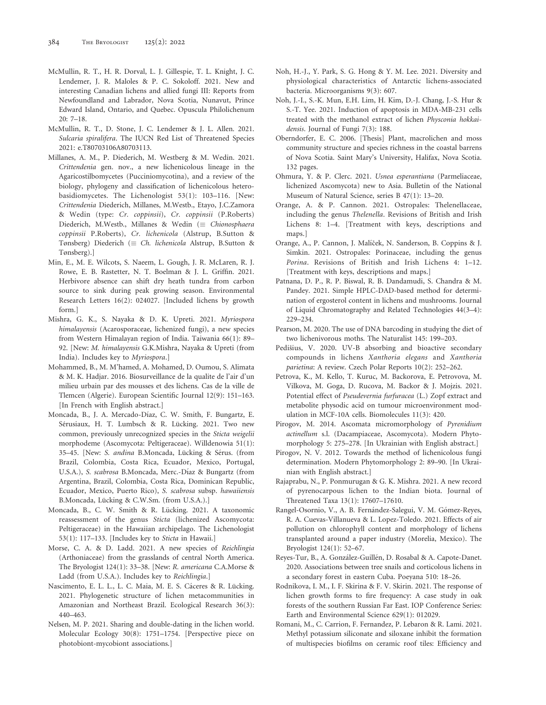- McMullin, R. T., H. R. Dorval, L. J. Gillespie, T. L. Knight, J. C. Lendemer, J. R. Maloles & P. C. Sokoloff. 2021. New and interesting Canadian lichens and allied fungi III: Reports from Newfoundland and Labrador, Nova Scotia, Nunavut, Prince Edward Island, Ontario, and Quebec. Opuscula Philolichenum 20: 7–18.
- McMullin, R. T., D. Stone, J. C. Lendemer & J. L. Allen. 2021. Sulcaria spiralifera. The IUCN Red List of Threatened Species 2021: e.T80703106A80703113.
- Millanes, A. M., P. Diederich, M. Westberg & M. Wedin. 2021. Crittendenia gen. nov., a new lichenicolous lineage in the Agaricostilbomycetes (Pucciniomycotina), and a review of the biology, phylogeny and classification of lichenicolous heterobasidiomycetes. The Lichenologist 53(1): 103–116. [New: Crittendenia Diederich, Millanes, M.Westb., Etayo, J.C.Zamora & Wedin (type: Cr. coppinsii), Cr. coppinsii (P.Roberts) Diederich, M.Westb., Millanes & Wedin ( $\equiv$  Chionosphaera coppinsii P.Roberts), Cr. lichenicola (Alstrup, B.Sutton & Tønsberg) Diederich ( $\equiv$  Ch. lichenicola Alstrup, B.Sutton & Tønsberg).]
- Min, E., M. E. Wilcots, S. Naeem, L. Gough, J. R. McLaren, R. J. Rowe, E. B. Rastetter, N. T. Boelman & J. L. Griffin. 2021. Herbivore absence can shift dry heath tundra from carbon source to sink during peak growing season. Environmental Research Letters 16(2): 024027. [Included lichens by growth form.]
- Mishra, G. K., S. Nayaka & D. K. Upreti. 2021. Myriospora himalayensis (Acarosporaceae, lichenized fungi), a new species from Western Himalayan region of India. Taiwania 66(1): 89– 92. [New: M. himalayensis G.K.Mishra, Nayaka & Upreti (from India). Includes key to Myriospora.]
- Mohammed, B., M. M'hamed, A. Mohamed, D. Oumou, S. Alimata & M. K. Hadjar. 2016. Biosurveillance de la qualite de l'air d'un milieu urbain par des mousses et des lichens. Cas de la ville de Tlemcen (Algerie). European Scientific Journal 12(9): 151–163. [In French with English abstract.]
- Moncada, B., J. A. Mercado-Díaz, C. W. Smith, F. Bungartz, E. Sérusiaux, H. T. Lumbsch & R. Lücking. 2021. Two new common, previously unrecognized species in the Sticta weigelii morphodeme (Ascomycota: Peltigeraceae). Willdenowia 51(1): 35–45. [New: S. andina B.Moncada, Lücking & Sérus. (from Brazil, Colombia, Costa Rica, Ecuador, Mexico, Portugal, U.S.A.), S. scabrosa B.Moncada, Merc.-Díaz & Bungartz (from Argentina, Brazil, Colombia, Costa Rica, Dominican Republic, Ecuador, Mexico, Puerto Rico), S. scabrosa subsp. hawaiiensis B.Moncada, Lücking & C.W.Sm. (from U.S.A.).]
- Moncada, B., C. W. Smith & R. Lücking. 2021. A taxonomic reassessment of the genus Sticta (lichenized Ascomycota: Peltigeraceae) in the Hawaiian archipelago. The Lichenologist 53(1): 117–133. [Includes key to Sticta in Hawaii.]
- Morse, C. A. & D. Ladd. 2021. A new species of Reichlingia (Arthoniaceae) from the grasslands of central North America. The Bryologist 124(1): 33–38. [New: R. americana C.A.Morse & Ladd (from U.S.A.). Includes key to Reichlingia.]
- Nascimento, E. L. L., L. C. Maia, M. E. S. Cáceres & R. Lücking. 2021. Phylogenetic structure of lichen metacommunities in Amazonian and Northeast Brazil. Ecological Research 36(3): 440–463.
- Nelsen, M. P. 2021. Sharing and double-dating in the lichen world. Molecular Ecology 30(8): 1751–1754. [Perspective piece on photobiont-mycobiont associations.]
- Noh, H.-J., Y. Park, S. G. Hong & Y. M. Lee. 2021. Diversity and physiological characteristics of Antarctic lichens-associated bacteria. Microorganisms 9(3): 607.
- Noh, J.-I., S.-K. Mun, E.H. Lim, H. Kim, D.-J. Chang, J.-S. Hur & S.-T. Yee. 2021. Induction of apoptosis in MDA-MB-231 cells treated with the methanol extract of lichen Physconia hokkaidensis. Journal of Fungi 7(3): 188.
- Oberndorfer, E. C. 2006. [Thesis] Plant, macrolichen and moss community structure and species richness in the coastal barrens of Nova Scotia. Saint Mary's University, Halifax, Nova Scotia. 132 pages.
- Ohmura, Y. & P. Clerc. 2021. Usnea esperantiana (Parmeliaceae, lichenized Ascomycota) new to Asia. Bulletin of the National Museum of Natural Science, series B 47(1): 13–20.
- Orange, A. & P. Cannon. 2021. Ostropales: Thelenellaceae, including the genus Thelenella. Revisions of British and Irish Lichens 8: 1–4. [Treatment with keys, descriptions and maps.]
- Orange, A., P. Cannon, J. Malíček, N. Sanderson, B. Coppins & J. Simkin. 2021. Ostropales: Porinaceae, including the genus Porina. Revisions of British and Irish Lichens 4: 1–12. [Treatment with keys, descriptions and maps.]
- Patnana, D. P., R. P. Biswal, R. B. Dandamudi, S. Chandra & M. Pandey. 2021. Simple HPLC-DAD-based method for determination of ergosterol content in lichens and mushrooms. Journal of Liquid Chromatography and Related Technologies 44(3–4): 229–234.
- Pearson, M. 2020. The use of DNA barcoding in studying the diet of two lichenivorous moths. The Naturalist 145: 199–203.
- Pedišius, V. 2020. UV-B absorbing and bioactive secondary compounds in lichens Xanthoria elegans and Xanthoria parietina: A review. Czech Polar Reports 10(2): 252–262.
- Petrova, K., M. Kello, T. Kuruc, M. Backorova, E. Petrovova, M. Vilkova, M. Goga, D. Rucova, M. Backor & J. Mojzis. 2021. Potential effect of Pseudevernia furfuracea (L.) Zopf extract and metabolite physodic acid on tumour microenvironment modulation in MCF-10A cells. Biomolecules 11(3): 420.
- Pirogov, M. 2014. Ascomata micromorphology of Pyrenidium actinellum s.l. (Dacampiaceae, Ascomycota). Modern Phytomorphology 5: 275–278. [In Ukrainian with English abstract.]
- Pirogov, N. V. 2012. Towards the method of lichenicolous fungi determination. Modern Phytomorphology 2: 89–90. [In Ukrainian with English abstract.]
- Rajaprabu, N., P. Ponmurugan & G. K. Mishra. 2021. A new record of pyrenocarpous lichen to the Indian biota. Journal of Threatened Taxa 13(1): 17607–17610.
- Rangel-Osornio, V., A. B. Fernández-Salegui, V. M. Gómez-Reyes, R. A. Cuevas-Villanueva & L. Lopez-Toledo. 2021. Effects of air pollution on chlorophyll content and morphology of lichens transplanted around a paper industry (Morelia, Mexico). The Bryologist 124(1): 52–67.
- Reyes-Tur, B., A. González-Guillén, D. Rosabal & A. Capote-Danet. 2020. Associations between tree snails and corticolous lichens in a secondary forest in eastern Cuba. Poeyana 510: 18–26.
- Rodnikova, I. M., I. F. Skirina & F. V. Skirin. 2021. The response of lichen growth forms to fire frequency: A case study in oak forests of the southern Russian Far East. IOP Conference Series: Earth and Environmental Science 629(1): 012029.
- Romani, M., C. Carrion, F. Fernandez, P. Lebaron & R. Lami. 2021. Methyl potassium siliconate and siloxane inhibit the formation of multispecies biofilms on ceramic roof tiles: Efficiency and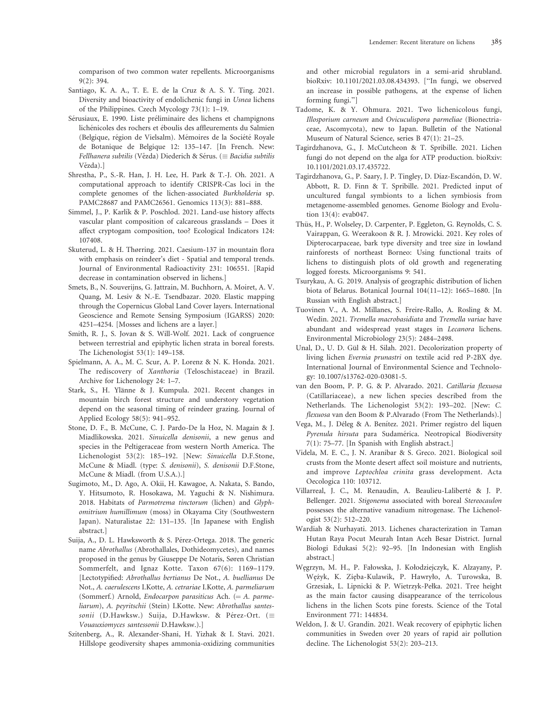comparison of two common water repellents. Microorganisms 9(2): 394.

- Santiago, K. A. A., T. E. E. de la Cruz & A. S. Y. Ting. 2021. Diversity and bioactivity of endolichenic fungi in Usnea lichens of the Philippines. Czech Mycology 73(1): 1–19.
- Sérusiaux, E. 1990. Liste préliminaire des lichens et champignons lichénicoles des rochers et éboulis des affleurements du Salmien (Belgique, région de Vielsalm). Mémoires de la Société Royale de Botanique de Belgique 12: 135–147. [In French. New: Fellhanera subtilis (Vězda) Diederich & Sérus. ( $\equiv$  Bacidia subtilis Vězda).]
- Shrestha, P., S.-R. Han, J. H. Lee, H. Park & T.-J. Oh. 2021. A computational approach to identify CRISPR-Cas loci in the complete genomes of the lichen-associated Burkholderia sp. PAMC28687 and PAMC26561. Genomics 113(3): 881–888.
- Simmel, J., P. Karlík & P. Poschlod. 2021. Land-use history affects vascular plant composition of calcareous grasslands – Does it affect cryptogam composition, too? Ecological Indicators 124: 107408.
- Skuterud, L. & H. Thørring. 2021. Caesium-137 in mountain flora with emphasis on reindeer's diet - Spatial and temporal trends. Journal of Environmental Radioactivity 231: 106551. [Rapid decrease in contamination observed in lichens.]
- Smets, B., N. Souverijns, G. Jattrain, M. Buchhorn, A. Moiret, A. V. Quang, M. Lesiv & N.-E. Tsendbazar. 2020. Elastic mapping through the Copernicus Global Land Cover layers. International Geoscience and Remote Sensing Symposium (IGARSS) 2020: 4251–4254. [Mosses and lichens are a layer.]
- Smith, R. J., S. Jovan & S. Will-Wolf. 2021. Lack of congruence between terrestrial and epiphytic lichen strata in boreal forests. The Lichenologist 53(1): 149–158.
- Spielmann, A. A., M. C. Scur, A. P. Lorenz & N. K. Honda. 2021. The rediscovery of Xanthoria (Teloschistaceae) in Brazil. Archive for Lichenology 24: 1–7.
- Stark, S., H. Ylänne & J. Kumpula. 2021. Recent changes in mountain birch forest structure and understory vegetation depend on the seasonal timing of reindeer grazing. Journal of Applied Ecology 58(5): 941–952.
- Stone, D. F., B. McCune, C. J. Pardo-De la Hoz, N. Magain & J. Miadlikowska. 2021. Sinuicella denisonii, a new genus and species in the Peltigeraceae from western North America. The Lichenologist 53(2): 185–192. [New: Sinuicella D.F.Stone, McCune & Miadl. (type: S. denisonii), S. denisonii D.F.Stone, McCune & Miadl. (from U.S.A.).]
- Sugimoto, M., D. Ago, A. Okii, H. Kawagoe, A. Nakata, S. Bando, Y. Hitsumoto, R. Hosokawa, M. Yaguchi & N. Nishimura. 2018. Habitats of Parmotrema tinctorum (lichen) and Glyphomitrium humillimum (moss) in Okayama City (Southwestern Japan). Naturalistae 22: 131–135. [In Japanese with English abstract.]
- Suija, A., D. L. Hawksworth & S. Pérez-Ortega. 2018. The generic name Abrothallus (Abrothallales, Dothideomycetes), and names proposed in the genus by Giuseppe De Notaris, Søren Christian Sommerfelt, and Ignaz Kotte. Taxon 67(6): 1169–1179. [Lectotypified: Abrothallus bertianus De Not., A. buellianus De Not., A. caerulescens I.Kotte, A. cetrariae I.Kotte, A. parmeliarum (Sommerf.) Arnold, Endocarpon parasiticus Ach.  $(= A.$  parmeliarum), A. peyritschii (Stein) I.Kotte. New: Abrothallus santessonii (D.Hawksw.) Suija, D.Hawksw. & Pérez-Ort. ( $\equiv$ Vouauxiomyces santessonii D.Hawksw.).]
- Szitenberg, A., R. Alexander-Shani, H. Yizhak & I. Stavi. 2021. Hillslope geodiversity shapes ammonia-oxidizing communities

and other microbial regulators in a semi-arid shrubland. bioRxiv: 10.1101/2021.03.08.434393. [''In fungi, we observed an increase in possible pathogens, at the expense of lichen forming fungi.'']

- Tadome, K. & Y. Ohmura. 2021. Two lichenicolous fungi, Illosporium carneum and Ovicuculispora parmeliae (Bionectriaceae, Ascomycota), new to Japan. Bulletin of the National Museum of Natural Science, series B 47(1): 21–25.
- Tagirdzhanova, G., J. McCutcheon & T. Spribille. 2021. Lichen fungi do not depend on the alga for ATP production. bioRxiv: 10.1101/2021.03.17.435722.
- Tagirdzhanova, G., P. Saary, J. P. Tingley, D. Díaz-Escandón, D. W. Abbott, R. D. Finn & T. Spribille. 2021. Predicted input of uncultured fungal symbionts to a lichen symbiosis from metagenome-assembled genomes. Genome Biology and Evolution 13(4): evab047.
- Thüs, H., P. Wolseley, D. Carpenter, P. Eggleton, G. Reynolds, C. S. Vairappan, G. Weerakoon & R. J. Mrowicki. 2021. Key roles of Dipterocarpaceae, bark type diversity and tree size in lowland rainforests of northeast Borneo: Using functional traits of lichens to distinguish plots of old growth and regenerating logged forests. Microorganisms 9: 541.
- Tsurykau, A. G. 2019. Analysis of geographic distribution of lichen biota of Belarus. Botanical Journal 104(11–12): 1665–1680. [In Russian with English abstract.]
- Tuovinen V., A. M. Millanes, S. Freire-Rallo, A. Rosling & M. Wedin. 2021. Tremella macrobasidiata and Tremella variae have abundant and widespread yeast stages in Lecanora lichens. Environmental Microbiology 23(5): 2484–2498.
- Unal, D., U. D. Gül & H. Silah. 2021. Decolorization property of living lichen Evernia prunastri on textile acid red P-2BX dye. International Journal of Environmental Science and Technology: 10.1007/s13762-020-03081-5.
- van den Boom, P. P. G. & P. Alvarado. 2021. Catillaria flexuosa (Catillariaceae), a new lichen species described from the Netherlands. The Lichenologist 53(2): 193–202. [New: C. flexuosa van den Boom & P.Alvarado (From The Netherlands).]
- Vega, M., J. Déleg & A. Benítez. 2021. Primer registro del liquen Pyrenula hirsuta para Sudamérica. Neotropical Biodiversity 7(1): 75–77. [In Spanish with English abstract.]
- Videla, M. E. C., J. N. Aranibar & S. Greco. 2021. Biological soil crusts from the Monte desert affect soil moisture and nutrients, and improve Leptochloa crinita grass development. Acta Oecologica 110: 103712.
- Villarreal, J. C., M. Renaudin, A. Beaulieu-Laliberté & J. P. Bellenger. 2021. Stigonema associated with boreal Stereocaulon possesses the alternative vanadium nitrogenase. The Lichenologist 53(2): 512–220.
- Wardiah & Nurhayati. 2013. Lichenes characterization in Taman Hutan Raya Pocut Meurah Intan Aceh Besar District. Jurnal Biologi Edukasi 5(2): 92–95. [In Indonesian with English abstract.]
- W˛egrzyn, M. H., P. Fałowska, J. Kołodziejczyk, K. Alzayany, P. W˛ez˙yk, K. Zi˛eba-Kulawik, P. Hawryło, A. Turowska, B. Grzesiak, L. Lipnicki & P. Wietrzyk-Pełka. 2021. Tree height as the main factor causing disappearance of the terricolous lichens in the lichen Scots pine forests. Science of the Total Environment 771: 144834.
- Weldon, J. & U. Grandin. 2021. Weak recovery of epiphytic lichen communities in Sweden over 20 years of rapid air pollution decline. The Lichenologist 53(2): 203–213.